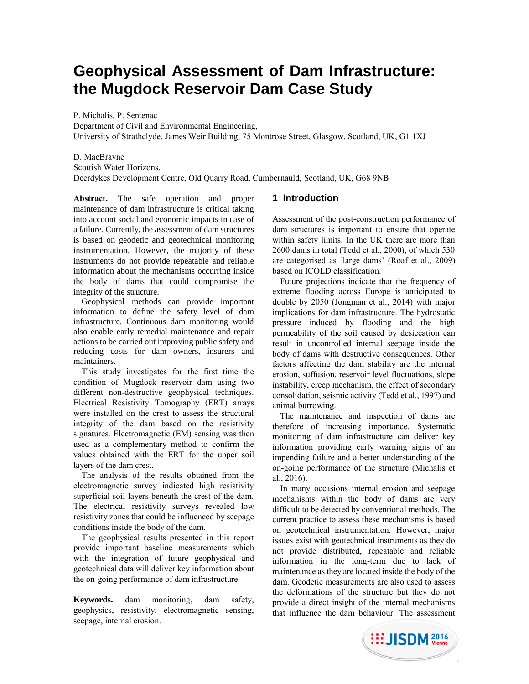# **Geophysical Assessment of Dam Infrastructure: the Mugdock Reservoir Dam Case Study**

P. Michalis, P. Sentenac

Department of Civil and Environmental Engineering,

University of Strathclyde, James Weir Building, 75 Montrose Street, Glasgow, Scotland, UK, G1 1XJ

D. MacBrayne Scottish Water Horizons, Deerdykes Development Centre, Old Quarry Road, Cumbernauld, Scotland, UK, G68 9NB

**Abstract.** The safe operation and proper maintenance of dam infrastructure is critical taking into account social and economic impacts in case of a failure. Currently, the assessment of dam structures is based on geodetic and geotechnical monitoring instrumentation. However, the majority of these instruments do not provide repeatable and reliable information about the mechanisms occurring inside the body of dams that could compromise the integrity of the structure.

Geophysical methods can provide important information to define the safety level of dam infrastructure. Continuous dam monitoring would also enable early remedial maintenance and repair actions to be carried out improving public safety and reducing costs for dam owners, insurers and maintainers.

This study investigates for the first time the condition of Mugdock reservoir dam using two different non-destructive geophysical techniques. Electrical Resistivity Tomography (ERT) arrays were installed on the crest to assess the structural integrity of the dam based on the resistivity signatures. Electromagnetic (EM) sensing was then used as a complementary method to confirm the values obtained with the ERT for the upper soil layers of the dam crest.

The analysis of the results obtained from the electromagnetic survey indicated high resistivity superficial soil layers beneath the crest of the dam. The electrical resistivity surveys revealed low resistivity zones that could be influenced by seepage conditions inside the body of the dam.

The geophysical results presented in this report provide important baseline measurements which with the integration of future geophysical and geotechnical data will deliver key information about the on-going performance of dam infrastructure.

**Keywords.** dam monitoring, dam safety, geophysics, resistivity, electromagnetic sensing, seepage, internal erosion.

# **1 Introduction**

Assessment of the post-construction performance of dam structures is important to ensure that operate within safety limits. In the UK there are more than 2600 dams in total (Tedd et al., 2000), of which 530 are categorised as 'large dams' (Roaf et al., 2009) based on ICOLD classification.

Future projections indicate that the frequency of extreme flooding across Europe is anticipated to double by 2050 (Jongman et al., 2014) with major implications for dam infrastructure. The hydrostatic pressure induced by flooding and the high permeability of the soil caused by desiccation can result in uncontrolled internal seepage inside the body of dams with destructive consequences. Other factors affecting the dam stability are the internal erosion, suffusion, reservoir level fluctuations, slope instability, creep mechanism, the effect of secondary consolidation, seismic activity (Tedd et al., 1997) and animal burrowing.

The maintenance and inspection of dams are therefore of increasing importance. Systematic monitoring of dam infrastructure can deliver key information providing early warning signs of an impending failure and a better understanding of the on-going performance of the structure (Michalis et al., 2016).

In many occasions internal erosion and seepage mechanisms within the body of dams are very difficult to be detected by conventional methods. The current practice to assess these mechanisms is based on geotechnical instrumentation. However, major issues exist with geotechnical instruments as they do not provide distributed, repeatable and reliable information in the long-term due to lack of maintenance as they are located inside the body of the dam. Geodetic measurements are also used to assess the deformations of the structure but they do not provide a direct insight of the internal mechanisms that influence the dam behaviour. The assessment

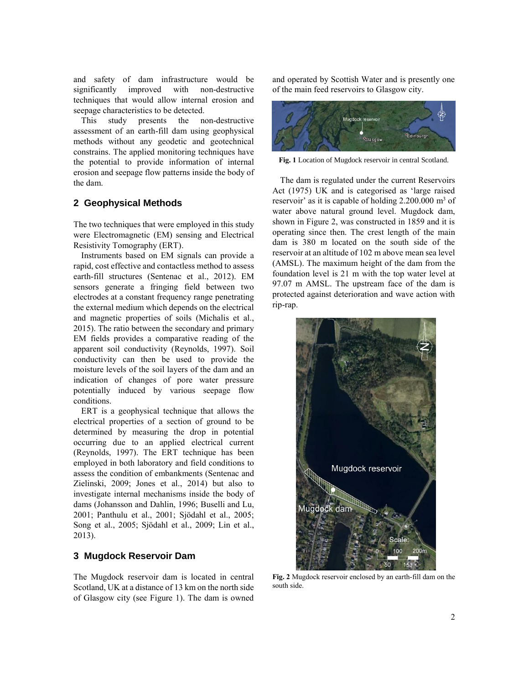and safety of dam infrastructure would be significantly improved with non-destructive techniques that would allow internal erosion and seepage characteristics to be detected.

This study presents the non-destructive assessment of an earth-fill dam using geophysical methods without any geodetic and geotechnical constrains. The applied monitoring techniques have the potential to provide information of internal erosion and seepage flow patterns inside the body of the dam.

# **2 Geophysical Methods**

The two techniques that were employed in this study were Electromagnetic (EM) sensing and Electrical Resistivity Tomography (ERT).

Instruments based on EM signals can provide a rapid, cost effective and contactless method to assess earth-fill structures (Sentenac et al., 2012). EM sensors generate a fringing field between two electrodes at a constant frequency range penetrating the external medium which depends on the electrical and magnetic properties of soils (Michalis et al., 2015). The ratio between the secondary and primary EM fields provides a comparative reading of the apparent soil conductivity (Reynolds, 1997). Soil conductivity can then be used to provide the moisture levels of the soil layers of the dam and an indication of changes of pore water pressure potentially induced by various seepage flow conditions.

ERT is a geophysical technique that allows the electrical properties of a section of ground to be determined by measuring the drop in potential occurring due to an applied electrical current (Reynolds, 1997). The ERT technique has been employed in both laboratory and field conditions to assess the condition of embankments (Sentenac and Zielinski, 2009; Jones et al., 2014) but also to investigate internal mechanisms inside the body of dams (Johansson and Dahlin, 1996; Buselli and Lu, 2001; Panthulu et al., 2001; Sjödahl et al., 2005; Song et al., 2005; Sjödahl et al., 2009; Lin et al., 2013).

# **3 Mugdock Reservoir Dam**

The Mugdock reservoir dam is located in central Scotland, UK at a distance of 13 km on the north side of Glasgow city (see Figure 1). The dam is owned

and operated by Scottish Water and is presently one of the main feed reservoirs to Glasgow city.



**Fig. 1** Location of Mugdock reservoir in central Scotland.

The dam is regulated under the current Reservoirs Act (1975) UK and is categorised as 'large raised reservoir' as it is capable of holding 2.200.000 m<sup>3</sup> of water above natural ground level. Mugdock dam, shown in Figure 2, was constructed in 1859 and it is operating since then. The crest length of the main dam is 380 m located on the south side of the reservoir at an altitude of 102 m above mean sea level (AMSL). The maximum height of the dam from the foundation level is 21 m with the top water level at 97.07 m AMSL. The upstream face of the dam is protected against deterioration and wave action with rip-rap.



**Fig. 2** Mugdock reservoir enclosed by an earth-fill dam on the south side.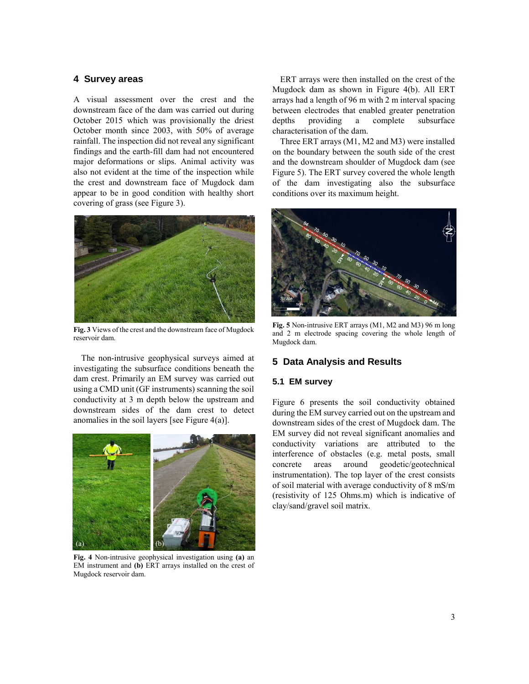#### **4 Survey areas**

A visual assessment over the crest and the downstream face of the dam was carried out during October 2015 which was provisionally the driest October month since 2003, with 50% of average rainfall. The inspection did not reveal any significant findings and the earth-fill dam had not encountered major deformations or slips. Animal activity was also not evident at the time of the inspection while the crest and downstream face of Mugdock dam appear to be in good condition with healthy short covering of grass (see Figure 3).



**Fig. 3** Views of the crest and the downstream face of Mugdock reservoir dam.

The non-intrusive geophysical surveys aimed at investigating the subsurface conditions beneath the dam crest. Primarily an EM survey was carried out using a CMD unit (GF instruments) scanning the soil conductivity at 3 m depth below the upstream and downstream sides of the dam crest to detect anomalies in the soil layers [see Figure 4(a)].



**Fig. 4** Non-intrusive geophysical investigation using **(a)** an EM instrument and **(b)** ERT arrays installed on the crest of Mugdock reservoir dam.

ERT arrays were then installed on the crest of the Mugdock dam as shown in Figure 4(b). All ERT arrays had a length of 96 m with 2 m interval spacing between electrodes that enabled greater penetration depths providing a complete subsurface characterisation of the dam.

Three ERT arrays (M1, M2 and M3) were installed on the boundary between the south side of the crest and the downstream shoulder of Mugdock dam (see Figure 5). The ERT survey covered the whole length of the dam investigating also the subsurface conditions over its maximum height.



**Fig. 5** Non-intrusive ERT arrays (M1, M2 and M3) 96 m long and 2 m electrode spacing covering the whole length of Mugdock dam.

# **5 Data Analysis and Results**

#### **5.1 EM survey**

Figure 6 presents the soil conductivity obtained during the EM survey carried out on the upstream and downstream sides of the crest of Mugdock dam. The EM survey did not reveal significant anomalies and conductivity variations are attributed to the interference of obstacles (e.g. metal posts, small concrete areas around geodetic/geotechnical instrumentation). The top layer of the crest consists of soil material with average conductivity of 8 mS/m (resistivity of 125 Ohms.m) which is indicative of clay/sand/gravel soil matrix.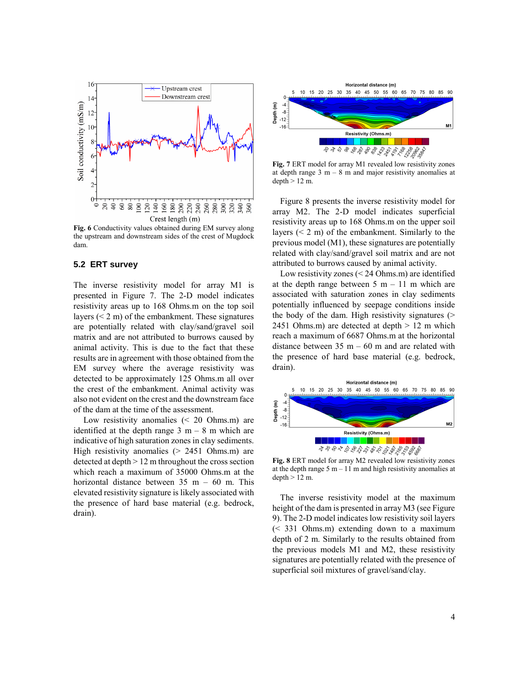

**Fig. 6** Conductivity values obtained during EM survey along the upstream and downstream sides of the crest of Mugdock dam.

#### **5.2 ERT survey**

The inverse resistivity model for array M1 is presented in Figure 7. The 2-D model indicates resistivity areas up to 168 Ohms.m on the top soil layers  $(< 2 \, \text{m})$  of the embankment. These signatures are potentially related with clay/sand/gravel soil matrix and are not attributed to burrows caused by animal activity. This is due to the fact that these results are in agreement with those obtained from the EM survey where the average resistivity was detected to be approximately 125 Ohms.m all over the crest of the embankment. Animal activity was also not evident on the crest and the downstream face of the dam at the time of the assessment.

Low resistivity anomalies (< 20 Ohms.m) are identified at the depth range  $3 \text{ m} - 8 \text{ m}$  which are indicative of high saturation zones in clay sediments. High resistivity anomalies (> 2451 Ohms.m) are detected at depth > 12 m throughout the cross section which reach a maximum of 35000 Ohms.m at the horizontal distance between  $35$  m – 60 m. This elevated resistivity signature is likely associated with the presence of hard base material (e.g. bedrock, drain).



**Fig. 7** ERT model for array M1 revealed low resistivity zones at depth range  $3 \text{ m} - 8 \text{ m}$  and major resistivity anomalies at  $depth > 12 m$ .

Figure 8 presents the inverse resistivity model for array M2. The 2-D model indicates superficial resistivity areas up to 168 Ohms.m on the upper soil layers  $(< 2 \, \text{m})$  of the embankment. Similarly to the previous model (M1), these signatures are potentially related with clay/sand/gravel soil matrix and are not attributed to burrows caused by animal activity.

Low resistivity zones (< 24 Ohms.m) are identified at the depth range between  $5 \text{ m} - 11 \text{ m}$  which are associated with saturation zones in clay sediments potentially influenced by seepage conditions inside the body of the dam. High resistivity signatures  $($ 2451 Ohms.m) are detected at depth  $> 12$  m which reach a maximum of 6687 Ohms.m at the horizontal distance between  $35 \text{ m} - 60 \text{ m}$  and are related with the presence of hard base material (e.g. bedrock, drain).



**Fig. 8** ERT model for array M2 revealed low resistivity zones at the depth range  $5 m - 11 m$  and high resistivity anomalies at depth > 12 m.

The inverse resistivity model at the maximum height of the dam is presented in array M3 (see Figure 9). The 2-D model indicates low resistivity soil layers (< 331 Ohms.m) extending down to a maximum depth of 2 m. Similarly to the results obtained from the previous models M1 and M2, these resistivity signatures are potentially related with the presence of superficial soil mixtures of gravel/sand/clay.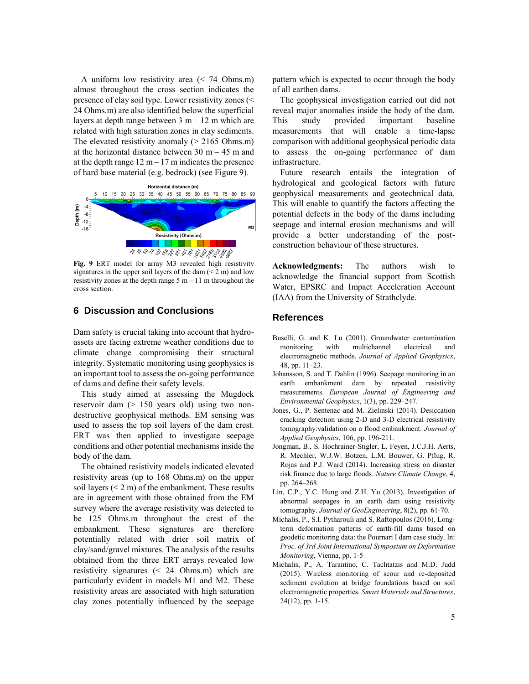A uniform low resistivity area (< 74 Ohms.m) almost throughout the cross section indicates the presence of clay soil type. Lower resistivity zones (< 24 Ohms.m) are also identified below the superficial layers at depth range between  $3 \text{ m} - 12 \text{ m}$  which are related with high saturation zones in clay sediments. The elevated resistivity anomaly  $(> 2165 \text{ Ohms.m})$ at the horizontal distance between  $30 \text{ m} - 45 \text{ m}$  and at the depth range  $12 \text{ m} - 17 \text{ m}$  indicates the presence of hard base material (e.g. bedrock) (see Figure 9).



**Fig. 9** ERT model for array M3 revealed high resistivity signatures in the upper soil layers of the dam (< 2 m) and low resistivity zones at the depth range  $5 \text{ m} - 11 \text{ m}$  throughout the cross section.

#### **6 Discussion and Conclusions**

Dam safety is crucial taking into account that hydroassets are facing extreme weather conditions due to climate change compromising their structural integrity. Systematic monitoring using geophysics is an important tool to assess the on-going performance of dams and define their safety levels.

This study aimed at assessing the Mugdock reservoir dam (> 150 years old) using two nondestructive geophysical methods. EM sensing was used to assess the top soil layers of the dam crest. ERT was then applied to investigate seepage conditions and other potential mechanisms inside the body of the dam.

The obtained resistivity models indicated elevated resistivity areas (up to 168 Ohms.m) on the upper soil layers  $(< 2 \text{ m})$  of the embankment. These results are in agreement with those obtained from the EM survey where the average resistivity was detected to be 125 Ohms.m throughout the crest of the embankment. These signatures are therefore potentially related with drier soil matrix of clay/sand/gravel mixtures. The analysis of the results obtained from the three ERT arrays revealed low resistivity signatures (< 24 Ohms.m) which are particularly evident in models M1 and M2. These resistivity areas are associated with high saturation clay zones potentially influenced by the seepage

pattern which is expected to occur through the body of all earthen dams.

The geophysical investigation carried out did not reveal major anomalies inside the body of the dam. This study provided important baseline measurements that will enable a time-lapse comparison with additional geophysical periodic data to assess the on-going performance of dam infrastructure.

Future research entails the integration of hydrological and geological factors with future geophysical measurements and geotechnical data. This will enable to quantify the factors affecting the potential defects in the body of the dams including seepage and internal erosion mechanisms and will provide a better understanding of the postconstruction behaviour of these structures.

**Acknowledgments:** The authors wish to acknowledge the financial support from Scottish Water, EPSRC and Impact Acceleration Account (IAA) from the University of Strathclyde.

### **References**

- Buselli, G. and K. Lu (2001). Groundwater contamination monitoring with multichannel electrical and electromagnetic methods. *Journal of Applied Geophysics*, 48, pp. 11–23.
- Johansson, S. and T. Dahlin (1996). Seepage monitoring in an earth embankment dam by repeated resistivity measurements. *European Journal of Engineering and Environmental Geophysics*, 1(3), pp. 229–247.
- Jones, G., P. Sentenac and M. Zielinski (2014). Desiccation cracking detection using 2-D and 3-D electrical resistivity tomography:validation on a flood embankment. *Journal of Applied Geophysics*, 106, pp. 196-211.
- Jongman, B., S. Hochrainer-Stigler, L. Feyen, J.C.J.H. Aerts, R. Mechler, W.J.W. Botzen, L.M. Bouwer, G. Pflug, R. Rojas and P.J. Ward (2014). Increasing stress on disaster risk finance due to large floods. *Nature Climate Change*, 4, pp. 264–268.
- Lin, C.P., Y.C. Hung and Z.H. Yu (2013). Investigation of abnormal seepages in an earth dam using resistivity tomography. *Journal of GeoEngineering*, 8(2), pp. 61-70.
- Michalis, P., S.I. Pytharouli and S. Raftopoulos (2016). Longterm deformation patterns of earth-fill dams based on geodetic monitoring data: the Pournari I dam case study. In: *Proc. of 3rd Joint International Symposium on Deformation Monitoring*, Vienna, pp. 1-5
- Michalis, P., A. Tarantino, C. Tachtatzis and M.D. Judd (2015). Wireless monitoring of scour and re-deposited sediment evolution at bridge foundations based on soil electromagnetic properties. *Smart Materials and Structures*, 24(12), pp. 1-15.